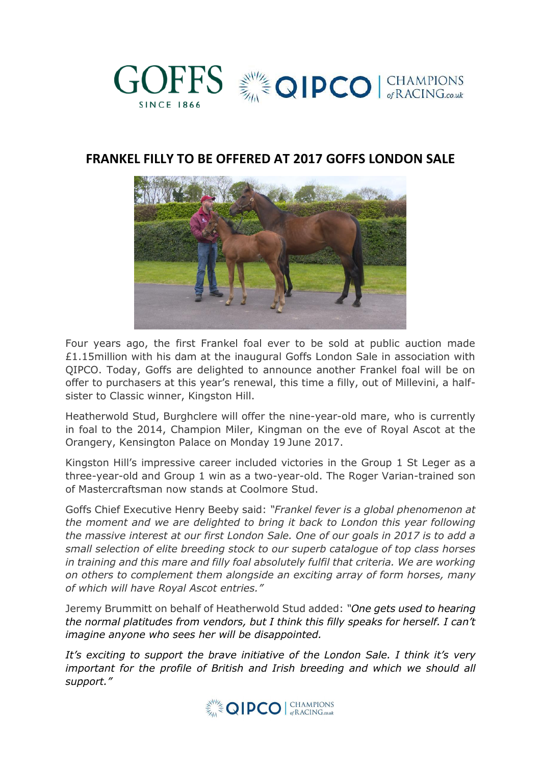

## **FRANKEL FILLY TO BE OFFERED AT 2017 GOFFS LONDON SALE**



Four years ago, the first Frankel foal ever to be sold at public auction made £1.15million with his dam at the inaugural Goffs London Sale in association with QIPCO. Today, Goffs are delighted to announce another Frankel foal will be on offer to purchasers at this year's renewal, this time a filly, out of Millevini, a halfsister to Classic winner, Kingston Hill.

Heatherwold Stud, Burghclere will offer the nine-year-old mare, who is currently in foal to the 2014, Champion Miler, Kingman on the eve of Royal Ascot at the Orangery, Kensington Palace on Monday 19 June 2017.

Kingston Hill's impressive career included victories in the Group 1 St Leger as a three-year-old and Group 1 win as a two-year-old. The Roger Varian-trained son of Mastercraftsman now stands at Coolmore Stud.

Goffs Chief Executive Henry Beeby said: *"Frankel fever is a global phenomenon at the moment and we are delighted to bring it back to London this year following the massive interest at our first London Sale. One of our goals in 2017 is to add a small selection of elite breeding stock to our superb catalogue of top class horses in training and this mare and filly foal absolutely fulfil that criteria. We are working on others to complement them alongside an exciting array of form horses, many of which will have Royal Ascot entries."*

Jeremy Brummitt on behalf of Heatherwold Stud added: *"One gets used to hearing the normal platitudes from vendors, but I think this filly speaks for herself. I can't imagine anyone who sees her will be disappointed.* 

*It's exciting to support the brave initiative of the London Sale. I think it's very important for the profile of British and Irish breeding and which we should all support."*